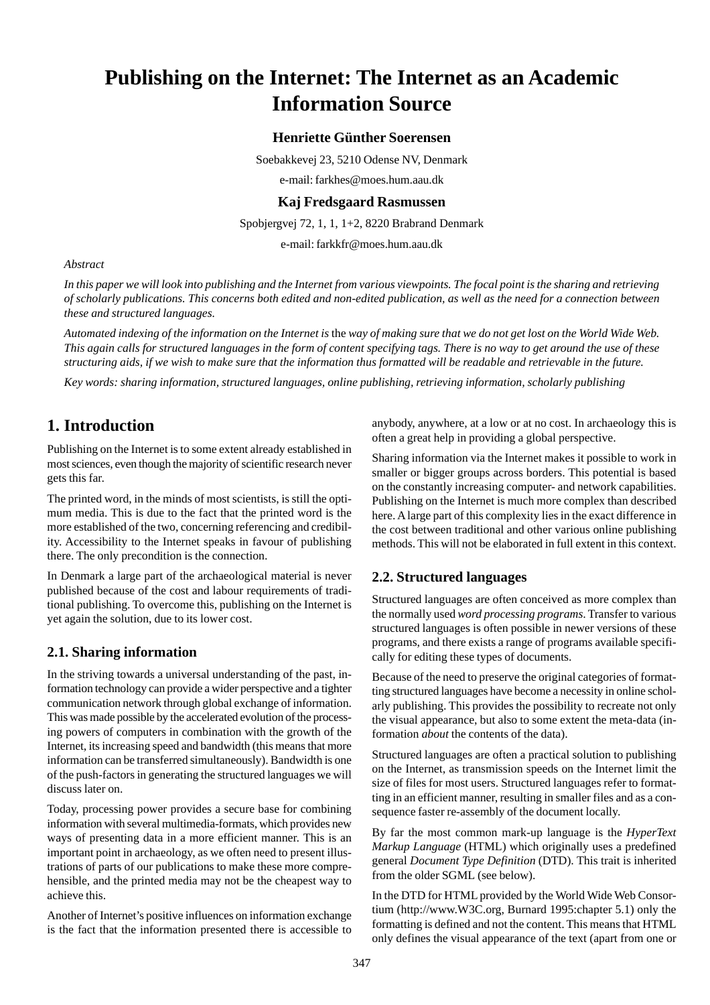# **Publishing on the Internet: The Internet as an Academic Information Source**

#### **Henriette Günther Soerensen**

Soebakkevej 23, 5210 Odense NV, Denmark

e-mail: farkhes@moes.hum.aau.dk

#### **Kaj Fredsgaard Rasmussen**

Spobjergvej 72, 1, 1, 1+2, 8220 Brabrand Denmark

e-mail: farkkfr@moes.hum.aau.dk

#### *Abstract*

*In this paper we will look into publishing and the Internet from various viewpoints. The focal point is the sharing and retrieving of scholarly publications. This concerns both edited and non-edited publication, as well as the need for a connection between these and structured languages.*

*Automated indexing of the information on the Internet is* the *way of making sure that we do not get lost on the World Wide Web. This again calls for structured languages in the form of content specifying tags. There is no way to get around the use of these structuring aids, if we wish to make sure that the information thus formatted will be readable and retrievable in the future.*

*Key words: sharing information, structured languages, online publishing, retrieving information, scholarly publishing*

# **1. Introduction**

Publishing on the Internet is to some extent already established in most sciences, even though the majority of scientific research never gets this far.

The printed word, in the minds of most scientists, is still the optimum media. This is due to the fact that the printed word is the more established of the two, concerning referencing and credibility. Accessibility to the Internet speaks in favour of publishing there. The only precondition is the connection.

In Denmark a large part of the archaeological material is never published because of the cost and labour requirements of traditional publishing. To overcome this, publishing on the Internet is yet again the solution, due to its lower cost.

#### **2.1. Sharing information**

In the striving towards a universal understanding of the past, information technology can provide a wider perspective and a tighter communication network through global exchange of information. This was made possible by the accelerated evolution of the processing powers of computers in combination with the growth of the Internet, its increasing speed and bandwidth (this means that more information can be transferred simultaneously). Bandwidth is one of the push-factors in generating the structured languages we will discuss later on.

Today, processing power provides a secure base for combining information with several multimedia-formats, which provides new ways of presenting data in a more efficient manner. This is an important point in archaeology, as we often need to present illustrations of parts of our publications to make these more comprehensible, and the printed media may not be the cheapest way to achieve this.

Another of Internet's positive influences on information exchange is the fact that the information presented there is accessible to anybody, anywhere, at a low or at no cost. In archaeology this is often a great help in providing a global perspective.

Sharing information via the Internet makes it possible to work in smaller or bigger groups across borders. This potential is based on the constantly increasing computer- and network capabilities. Publishing on the Internet is much more complex than described here. A large part of this complexity lies in the exact difference in the cost between traditional and other various online publishing methods. This will not be elaborated in full extent in this context.

#### **2.2. Structured languages**

Structured languages are often conceived as more complex than the normally used *word processing programs*. Transfer to various structured languages is often possible in newer versions of these programs, and there exists a range of programs available specifically for editing these types of documents.

Because of the need to preserve the original categories of formatting structured languages have become a necessity in online scholarly publishing. This provides the possibility to recreate not only the visual appearance, but also to some extent the meta-data (information *about* the contents of the data).

Structured languages are often a practical solution to publishing on the Internet, as transmission speeds on the Internet limit the size of files for most users. Structured languages refer to formatting in an efficient manner, resulting in smaller files and as a consequence faster re-assembly of the document locally.

By far the most common mark-up language is the *HyperText Markup Language* (HTML) which originally uses a predefined general *Document Type Definition* (DTD). This trait is inherited from the older SGML (see below).

In the DTD for HTML provided by the World Wide Web Consortium (http://www.W3C.org, Burnard 1995:chapter 5.1) only the formatting is defined and not the content. This means that HTML only defines the visual appearance of the text (apart from one or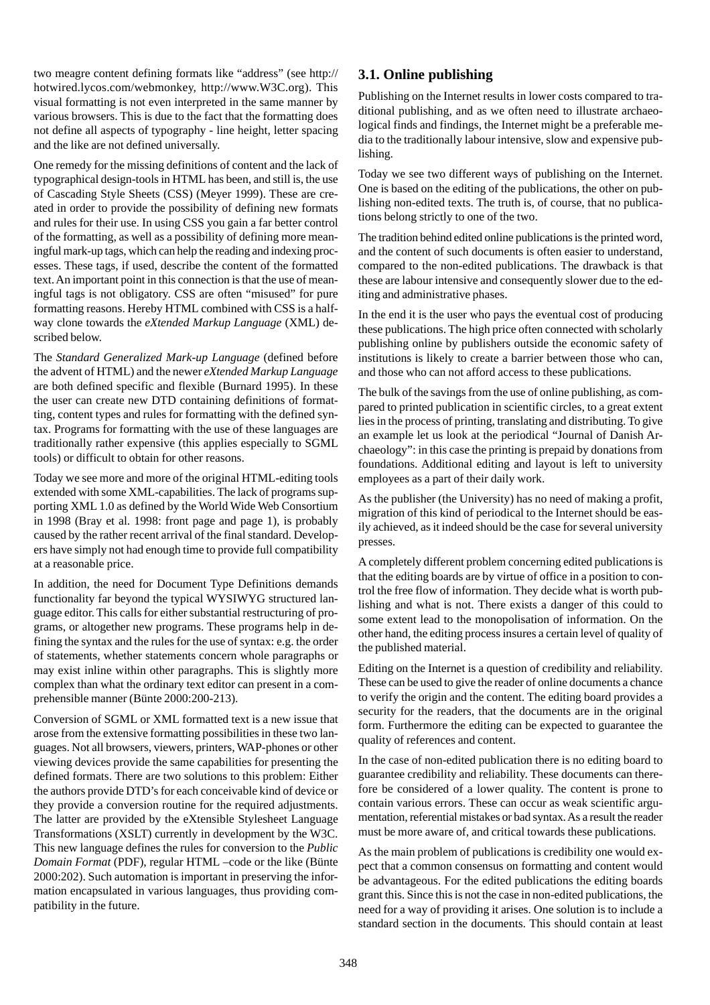two meagre content defining formats like "address" (see http:// hotwired.lycos.com/webmonkey, http://www.W3C.org). This visual formatting is not even interpreted in the same manner by various browsers. This is due to the fact that the formatting does not define all aspects of typography - line height, letter spacing and the like are not defined universally.

One remedy for the missing definitions of content and the lack of typographical design-tools in HTML has been, and still is, the use of Cascading Style Sheets (CSS) (Meyer 1999). These are created in order to provide the possibility of defining new formats and rules for their use. In using CSS you gain a far better control of the formatting, as well as a possibility of defining more meaningful mark-up tags, which can help the reading and indexing processes. These tags, if used, describe the content of the formatted text. An important point in this connection is that the use of meaningful tags is not obligatory. CSS are often "misused" for pure formatting reasons. Hereby HTML combined with CSS is a halfway clone towards the *eXtended Markup Language* (XML) described below.

The *Standard Generalized Mark-up Language* (defined before the advent of HTML) and the newer *eXtended Markup Language* are both defined specific and flexible (Burnard 1995). In these the user can create new DTD containing definitions of formatting, content types and rules for formatting with the defined syntax. Programs for formatting with the use of these languages are traditionally rather expensive (this applies especially to SGML tools) or difficult to obtain for other reasons.

Today we see more and more of the original HTML-editing tools extended with some XML-capabilities. The lack of programs supporting XML 1.0 as defined by the World Wide Web Consortium in 1998 (Bray et al. 1998: front page and page 1), is probably caused by the rather recent arrival of the final standard. Developers have simply not had enough time to provide full compatibility at a reasonable price.

In addition, the need for Document Type Definitions demands functionality far beyond the typical WYSIWYG structured language editor. This calls for either substantial restructuring of programs, or altogether new programs. These programs help in defining the syntax and the rules for the use of syntax: e.g. the order of statements, whether statements concern whole paragraphs or may exist inline within other paragraphs. This is slightly more complex than what the ordinary text editor can present in a comprehensible manner (Bünte 2000:200-213).

Conversion of SGML or XML formatted text is a new issue that arose from the extensive formatting possibilities in these two languages. Not all browsers, viewers, printers, WAP-phones or other viewing devices provide the same capabilities for presenting the defined formats. There are two solutions to this problem: Either the authors provide DTD's for each conceivable kind of device or they provide a conversion routine for the required adjustments. The latter are provided by the eXtensible Stylesheet Language Transformations (XSLT) currently in development by the W3C. This new language defines the rules for conversion to the *Public Domain Format* (PDF), regular HTML –code or the like (Bünte 2000:202). Such automation is important in preserving the information encapsulated in various languages, thus providing compatibility in the future.

#### **3.1. Online publishing**

Publishing on the Internet results in lower costs compared to traditional publishing, and as we often need to illustrate archaeological finds and findings, the Internet might be a preferable media to the traditionally labour intensive, slow and expensive publishing.

Today we see two different ways of publishing on the Internet. One is based on the editing of the publications, the other on publishing non-edited texts. The truth is, of course, that no publications belong strictly to one of the two.

The tradition behind edited online publications is the printed word, and the content of such documents is often easier to understand, compared to the non-edited publications. The drawback is that these are labour intensive and consequently slower due to the editing and administrative phases.

In the end it is the user who pays the eventual cost of producing these publications. The high price often connected with scholarly publishing online by publishers outside the economic safety of institutions is likely to create a barrier between those who can, and those who can not afford access to these publications.

The bulk of the savings from the use of online publishing, as compared to printed publication in scientific circles, to a great extent lies in the process of printing, translating and distributing. To give an example let us look at the periodical "Journal of Danish Archaeology": in this case the printing is prepaid by donations from foundations. Additional editing and layout is left to university employees as a part of their daily work.

As the publisher (the University) has no need of making a profit, migration of this kind of periodical to the Internet should be easily achieved, as it indeed should be the case for several university presses.

A completely different problem concerning edited publications is that the editing boards are by virtue of office in a position to control the free flow of information. They decide what is worth publishing and what is not. There exists a danger of this could to some extent lead to the monopolisation of information. On the other hand, the editing process insures a certain level of quality of the published material.

Editing on the Internet is a question of credibility and reliability. These can be used to give the reader of online documents a chance to verify the origin and the content. The editing board provides a security for the readers, that the documents are in the original form. Furthermore the editing can be expected to guarantee the quality of references and content.

In the case of non-edited publication there is no editing board to guarantee credibility and reliability. These documents can therefore be considered of a lower quality. The content is prone to contain various errors. These can occur as weak scientific argumentation, referential mistakes or bad syntax. As a result the reader must be more aware of, and critical towards these publications.

As the main problem of publications is credibility one would expect that a common consensus on formatting and content would be advantageous. For the edited publications the editing boards grant this. Since this is not the case in non-edited publications, the need for a way of providing it arises. One solution is to include a standard section in the documents. This should contain at least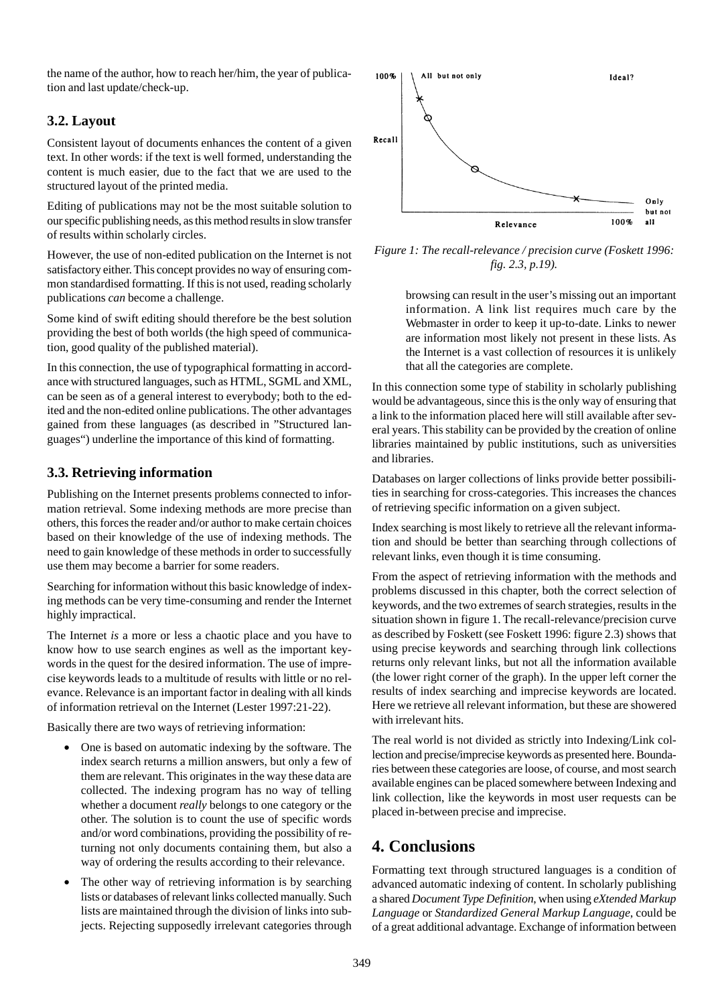the name of the author, how to reach her/him, the year of publication and last update/check-up.

#### **3.2. Layout**

Consistent layout of documents enhances the content of a given text. In other words: if the text is well formed, understanding the content is much easier, due to the fact that we are used to the structured layout of the printed media.

Editing of publications may not be the most suitable solution to our specific publishing needs, as this method results in slow transfer of results within scholarly circles.

However, the use of non-edited publication on the Internet is not satisfactory either. This concept provides no way of ensuring common standardised formatting. If this is not used, reading scholarly publications *can* become a challenge.

Some kind of swift editing should therefore be the best solution providing the best of both worlds (the high speed of communication, good quality of the published material).

In this connection, the use of typographical formatting in accordance with structured languages, such as HTML, SGML and XML, can be seen as of a general interest to everybody; both to the edited and the non-edited online publications. The other advantages gained from these languages (as described in "Structured languages") underline the importance of this kind of formatting.

### **3.3. Retrieving information**

Publishing on the Internet presents problems connected to information retrieval. Some indexing methods are more precise than others, this forces the reader and/or author to make certain choices based on their knowledge of the use of indexing methods. The need to gain knowledge of these methods in order to successfully use them may become a barrier for some readers.

Searching for information without this basic knowledge of indexing methods can be very time-consuming and render the Internet highly impractical.

The Internet *is* a more or less a chaotic place and you have to know how to use search engines as well as the important keywords in the quest for the desired information. The use of imprecise keywords leads to a multitude of results with little or no relevance. Relevance is an important factor in dealing with all kinds of information retrieval on the Internet (Lester 1997:21-22).

Basically there are two ways of retrieving information:

- One is based on automatic indexing by the software. The index search returns a million answers, but only a few of them are relevant. This originates in the way these data are collected. The indexing program has no way of telling whether a document *really* belongs to one category or the other. The solution is to count the use of specific words and/or word combinations, providing the possibility of returning not only documents containing them, but also a way of ordering the results according to their relevance.
- The other way of retrieving information is by searching lists or databases of relevant links collected manually. Such lists are maintained through the division of links into subjects. Rejecting supposedly irrelevant categories through



*Figure 1: The recall-relevance / precision curve (Foskett 1996: fig. 2.3, p.19).*

browsing can result in the user's missing out an important information. A link list requires much care by the Webmaster in order to keep it up-to-date. Links to newer are information most likely not present in these lists. As the Internet is a vast collection of resources it is unlikely that all the categories are complete.

In this connection some type of stability in scholarly publishing would be advantageous, since this is the only way of ensuring that a link to the information placed here will still available after several years. This stability can be provided by the creation of online libraries maintained by public institutions, such as universities and libraries.

Databases on larger collections of links provide better possibilities in searching for cross-categories. This increases the chances of retrieving specific information on a given subject.

Index searching is most likely to retrieve all the relevant information and should be better than searching through collections of relevant links, even though it is time consuming.

From the aspect of retrieving information with the methods and problems discussed in this chapter, both the correct selection of keywords, and the two extremes of search strategies, results in the situation shown in figure 1. The recall-relevance/precision curve as described by Foskett (see Foskett 1996: figure 2.3) shows that using precise keywords and searching through link collections returns only relevant links, but not all the information available (the lower right corner of the graph). In the upper left corner the results of index searching and imprecise keywords are located. Here we retrieve all relevant information, but these are showered with irrelevant hits.

The real world is not divided as strictly into Indexing/Link collection and precise/imprecise keywords as presented here. Boundaries between these categories are loose, of course, and most search available engines can be placed somewhere between Indexing and link collection, like the keywords in most user requests can be placed in-between precise and imprecise.

# **4. Conclusions**

Formatting text through structured languages is a condition of advanced automatic indexing of content. In scholarly publishing a shared *Document Type Definition*, when using *eXtended Markup Language* or *Standardized General Markup Language*, could be of a great additional advantage. Exchange of information between